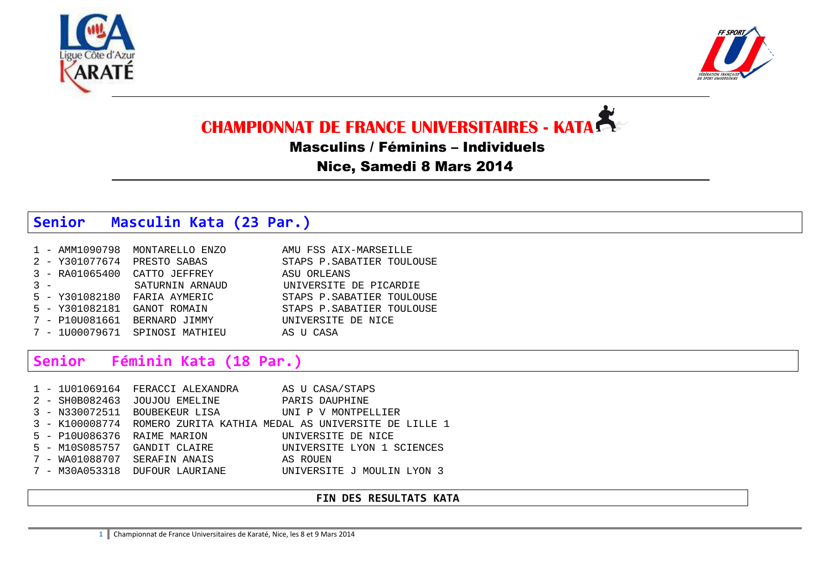



**CHAMPIONNAT DE FRANCE UNIVERSITAIRES - KATA** 

# Masculins / Féminins – Individuels

## Nice, Samedi 8 Mars 2014

# **Senior Masculin Kata (23 Par.)**

|       | 1 - AMM1090798 | MONTARELLO ENZO                | AMU FSS AIX-MARSEILLE      |
|-------|----------------|--------------------------------|----------------------------|
|       | 2 - Y301077674 | PRESTO SABAS                   | STAPS P. SABATIER TOULOUSE |
|       | 3 - RA01065400 | CATTO JEFFREY                  | ASU ORLEANS                |
| $3 -$ |                | SATURNIN ARNAUD                | UNIVERSITE DE PICARDIE     |
|       | 5 - Y301082180 | FARIA AYMERIC                  | STAPS P. SABATIER TOULOUSE |
|       | 5 - Y301082181 | GANOT ROMAIN                   | STAPS P. SABATIER TOULOUSE |
|       | 7 - P10U081661 | BERNARD JIMMY                  | UNIVERSITE DE NICE         |
|       |                | 7 - 1000079671 SPINOSI MATHIEU | AS U CASA                  |

## **Senior Féminin Kata (18 Par.)**

|  | 1 - 1001069164 FERACCI ALEXANDRA | AS U CASA/STAPS                                                    |
|--|----------------------------------|--------------------------------------------------------------------|
|  | 2 - SH0B082463 JOUJOU EMELINE    | PARIS DAUPHINE                                                     |
|  | 3 - N330072511 BOUBEKEUR LISA    | UNI P V MONTPELLIER                                                |
|  |                                  | 3 - K100008774 ROMERO ZURITA KATHIA MEDAL AS UNIVERSITE DE LILLE 1 |
|  | 5 - P10U086376 RAIME MARION      | UNIVERSITE DE NICE                                                 |
|  | 5 - M10S085757 GANDIT CLAIRE     | UNIVERSITE LYON 1 SCIENCES                                         |
|  | 7 - WA01088707 SERAFIN ANAIS     | AS ROUEN                                                           |
|  | 7 - M30A053318 DUFOUR LAURIANE   | UNIVERSITE J MOULIN LYON 3                                         |

### **FIN DES RESULTATS KATA**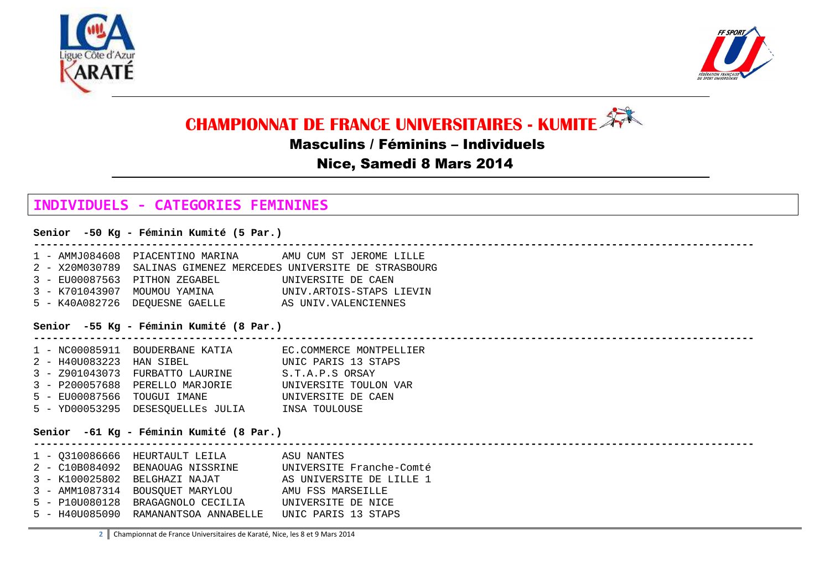



**CHAMPIONNAT DE FRANCE UNIVERSITAIRES - KUMITE** 

Masculins / Féminins – Individuels

## Nice, Samedi 8 Mars 2014

## **INDIVIDUELS - CATEGORIES FEMININES**

### **Senior -50 Kg - Féminin Kumité (5 Par.)**

| 3 - EU00087563 PITHON ZEGABEL              UNIVERSITE DE CAEN<br>5 - K40A082726 DEQUESNE GAELLE AS UNIV.VALENCIENNES                                                                                                                                                     | 1 - AMMJ084608 PIACENTINO MARINA      AMU CUM ST JEROME LILLE<br>2 - X20M030789 SALINAS GIMENEZ MERCEDES UNIVERSITE DE STRASBOURG<br>3 - K701043907 MOUMOU YAMINA                 UNIV.ARTOIS-STAPS LIEVIN |
|--------------------------------------------------------------------------------------------------------------------------------------------------------------------------------------------------------------------------------------------------------------------------|------------------------------------------------------------------------------------------------------------------------------------------------------------------------------------------------------------|
| Senior -55 Kg - Féminin Kumité (8 Par.)                                                                                                                                                                                                                                  |                                                                                                                                                                                                            |
| 3 - Z901043073 FURBATTO LAURINE S.T.A.P.S ORSAY<br>3 - P200057688 PERELLO MARJORIE UNIVERSITE TOULON VAR<br>5 - EU00087566 TOUGUI IMANE                 UNIVERSITE DE CAEN<br>5 - YD00053295 DESESQUELLES JULIA INSA TOULOUSE<br>Senior -61 Kg - Féminin Kumité (8 Par.) | 1 - NC00085911 BOUDERBANE KATIA BC.COMMERCE MONTPELLIER                                                                                                                                                    |
| 1 - Q310086666 HEURTAULT LEILA ASU NANTES<br>3 - AMM1087314 BOUSQUET MARYLOU     AMU FSS MARSEILLE<br>5 - P10U080128 BRAGAGNOLO CECILIA UNIVERSITE DE NICE<br>5 - H40U085090 RAMANANTSOA ANNABELLE UNIC PARIS 13 STAPS                                                   | 2 - C10B084092 BENAOUAG NISSRINE UNIVERSITE Franche-Comté<br>3 - K100025802 BELGHAZI NAJAT AS UNIVERSITE DE LILLE 1                                                                                        |

**2** Championnat de France Universitaires de Karaté, Nice, les 8 et 9 Mars 2014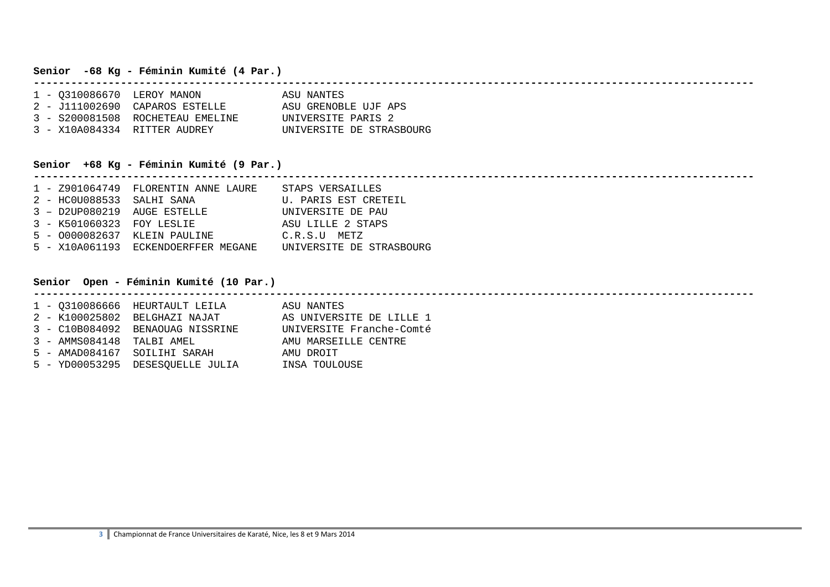### **Senior -68 Kg - Féminin Kumité (4 Par.)**

| 1 - 0310086670 LEROY MANON   |                                  | ASU NANTES               |
|------------------------------|----------------------------------|--------------------------|
|                              | 2 - J111002690 CAPAROS ESTELLE   | ASU GRENOBLE UJF APS     |
|                              | 3 - S200081508 ROCHETEAU EMELINE | UNIVERSITE PARIS 2       |
| 3 - X10A084334 RITTER AUDREY |                                  | UNIVERSITE DE STRASBOURG |

#### **Senior +68 Kg - Féminin Kumité (9 Par.)**

| $\sqrt{200100}$ | DI ODDIJUJIL AIRID I AJIDD | CDP2R2T1R2R3T1T1R |
|-----------------|----------------------------|-------------------|

|                           | 1 - Z901064749 FLORENTIN ANNE LAURE | STAPS VERSAILLES         |
|---------------------------|-------------------------------------|--------------------------|
| 2 - HCOU088533 SALHI SANA |                                     | U. PARIS EST CRETEIL     |
|                           | 3 - D2UP080219 AUGE ESTELLE         | UNIVERSITE DE PAU        |
| 3 - K501060323 FOY LESLIE |                                     | ASU LILLE 2 STAPS        |
|                           | $5$ - $0000082637$ KLEIN PAULINE    | C.R.S.U METZ             |
|                           | 5 - X10A061193 ECKENDOERFFER MEGANE | UNIVERSITE DE STRASBOURG |

### **Senior Open - Féminin Kumité (10 Par.)**

|                              | 1 - 0310086666 HEURTAULT LEILA   | ASU NANTES               |
|------------------------------|----------------------------------|--------------------------|
|                              | 2 - K100025802 BELGHAZI NAJAT    | AS UNIVERSITE DE LILLE 1 |
|                              | 3 - C10B084092 BENAOUAG NISSRINE | UNIVERSITE Franche-Comté |
| 3 - AMMS084148 TALBI AMEL    |                                  | AMU MARSEILLE CENTRE     |
| 5 - AMAD084167 SOILIHI SARAH |                                  | AMU DROIT                |
|                              | 5 - YD00053295 DESESQUELLE JULIA | INSA TOULOUSE            |
|                              |                                  |                          |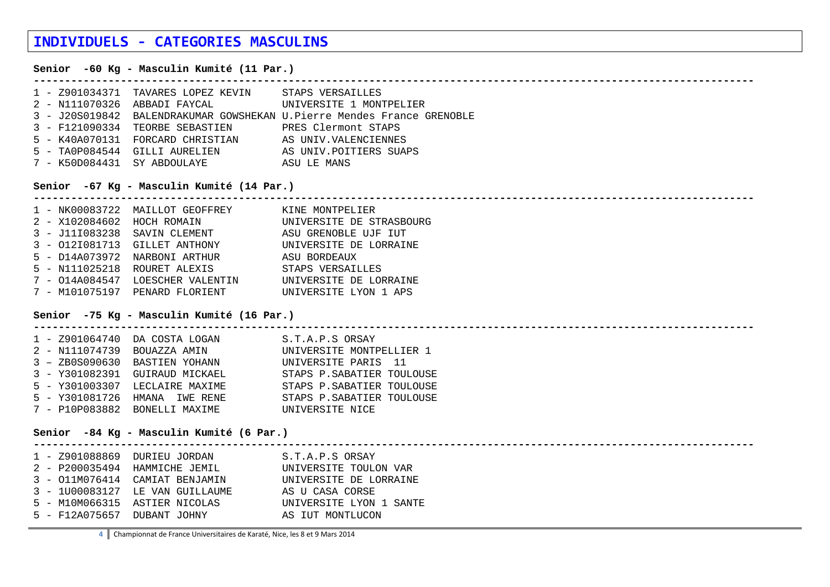# **INDIVIDUELS - CATEGORIES MASCULINS**

#### **Senior -60 Kg - Masculin Kumité (11 Par.)**

|  |                | 1 - Z901034371 TAVARES LOPEZ KEVIN | STAPS VERSAILLES                                                       |
|--|----------------|------------------------------------|------------------------------------------------------------------------|
|  | 2 - N111070326 | ABBADI FAYCAL                      | UNIVERSITE 1 MONTPELIER                                                |
|  |                |                                    | 3 - J20S019842 BALENDRAKUMAR GOWSHEKAN U.Pierre Mendes France GRENOBLE |
|  |                | 3 - F121090334 TEORBE SEBASTIEN    | PRES Clermont STAPS                                                    |
|  |                | 5 - K40A070131 FORCARD CHRISTIAN   | AS UNIV.VALENCIENNES                                                   |
|  |                | 5 - TAOPO84544 GILLI AURELIEN      | AS UNIV.POITIERS SUAPS                                                 |
|  |                | 7 - K50D084431 SY ABDOULAYE        | ASU LE MANS                                                            |

#### **Senior -67 Kg - Masculin Kumité (14 Par.)**

**--------------------------------------------------------------------------------------------------------------------** 

**--------------------------------------------------------------------------------------------------------------------** 

|  |                | 1 - NK00083722 MAILLOT GEOFFREY | KINE MONTPELIER          |
|--|----------------|---------------------------------|--------------------------|
|  | 2 - X102084602 | HOCH ROMAIN                     | UNIVERSITE DE STRASBOURG |
|  |                | 3 - J11I083238 SAVIN CLEMENT    | ASU GRENOBLE UJF IUT     |
|  |                | 3 - 0121081713 GILLET ANTHONY   | UNIVERSITE DE LORRAINE   |
|  | 5 - D14A073972 | NARBONI ARTHUR                  | ASU BORDEAUX             |
|  | 5 - N111025218 | ROURET ALEXIS                   | STAPS VERSAILLES         |
|  | 7 - 014A084547 | LOESCHER VALENTIN               | UNIVERSITE DE LORRAINE   |
|  |                | 7 - M101075197 PENARD FLORIENT  | UNIVERSITE LYON 1 APS    |

#### **Senior -75 Kg - Masculin Kumité (16 Par.)**

**--------------------------------------------------------------------------------------------------------------------** 1 - Z901064740 DA COSTA LOGAN S.T.A.P.S ORSAY

|  | I - ZYUIU6474U DA COSTA LOGAN  | S.T.A.P.S URSAY            |
|--|--------------------------------|----------------------------|
|  | 2 - N111074739 BOUAZZA AMIN    | UNIVERSITE MONTPELLIER 1   |
|  | 3 - ZB0S090630 BASTIEN YOHANN  | UNIVERSITE PARIS 11        |
|  | 3 - Y301082391 GUIRAUD MICKAEL | STAPS P.SABATIER TOULOUSE  |
|  | 5 - Y301003307 LECLAIRE MAXIME | STAPS P.SABATIER TOULOUSE  |
|  | 5 - Y301081726 HMANA IWE RENE  | STAPS P. SABATIER TOULOUSE |
|  | 7 - P10P083882 BONELLI MAXIME  | UNIVERSITE NICE            |

#### **Senior -84 Kg - Masculin Kumité (6 Par.)**

**--------------------------------------------------------------------------------------------------------------------** 

|  | 1 - Z901088869 DURIEU JORDAN    | S.T.A.P.S ORSAY         |
|--|---------------------------------|-------------------------|
|  | 2 - P200035494 HAMMICHE JEMIL   | UNIVERSITE TOULON VAR   |
|  | 3 - 011M076414 CAMIAT BENJAMIN  | UNIVERSITE DE LORRAINE  |
|  | 3 - 1U00083127 LE VAN GUILLAUME | AS U CASA CORSE         |
|  | 5 - M10M066315 ASTIER NICOLAS   | UNIVERSITE LYON 1 SANTE |
|  | 5 - F12A075657 DUBANT JOHNY     | AS IUT MONTLUCON        |

**4** Championnat de France Universitaires de Karaté, Nice, les 8 et 9 Mars 2014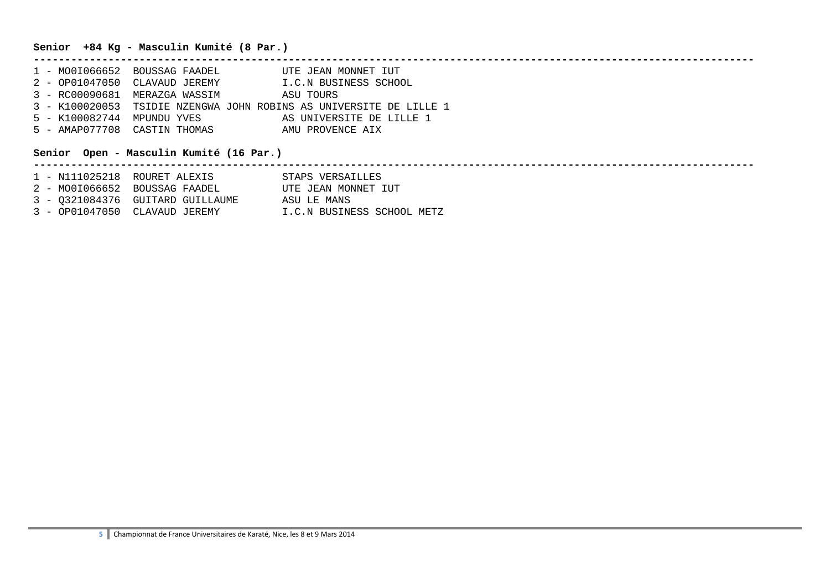#### **Senior +84 Kg - Masculin Kumité (8 Par.)**

|  | 1 - MO0I066652 BOUSSAG FAADEL | UTE JEAN MONNET IUT                                                |
|--|-------------------------------|--------------------------------------------------------------------|
|  | 2 - OP01047050 CLAVAUD JEREMY | I.C.N BUSINESS SCHOOL                                              |
|  | 3 - RC00090681 MERAZGA WASSIM | ASU TOURS                                                          |
|  |                               | 3 - K100020053 TSIDIE NZENGWA JOHN ROBINS AS UNIVERSITE DE LILLE 1 |
|  | 5 - K100082744 MPUNDU YVES    | AS UNIVERSITE DE LILLE 1                                           |
|  | 5 - AMAP077708 CASTIN THOMAS  | AMU PROVENCE AIX                                                   |

#### **Senior Open - Masculin Kumité (16 Par.)**

**--------------------------------------------------------------------------------------------------------------------** 

**--------------------------------------------------------------------------------------------------------------------** 

|  | 1 - N111025218 ROURET ALEXIS     | STAPS VERSAILLES           |
|--|----------------------------------|----------------------------|
|  | 2 - MO0I066652 BOUSSAG FAADEL    | UTE JEAN MONNET IUT        |
|  | 3 - 0321084376 GUITARD GUILLAUME | ASU LE MANS                |
|  | 3 - OP01047050 CLAVAUD JEREMY    | I.C.N BUSINESS SCHOOL METZ |